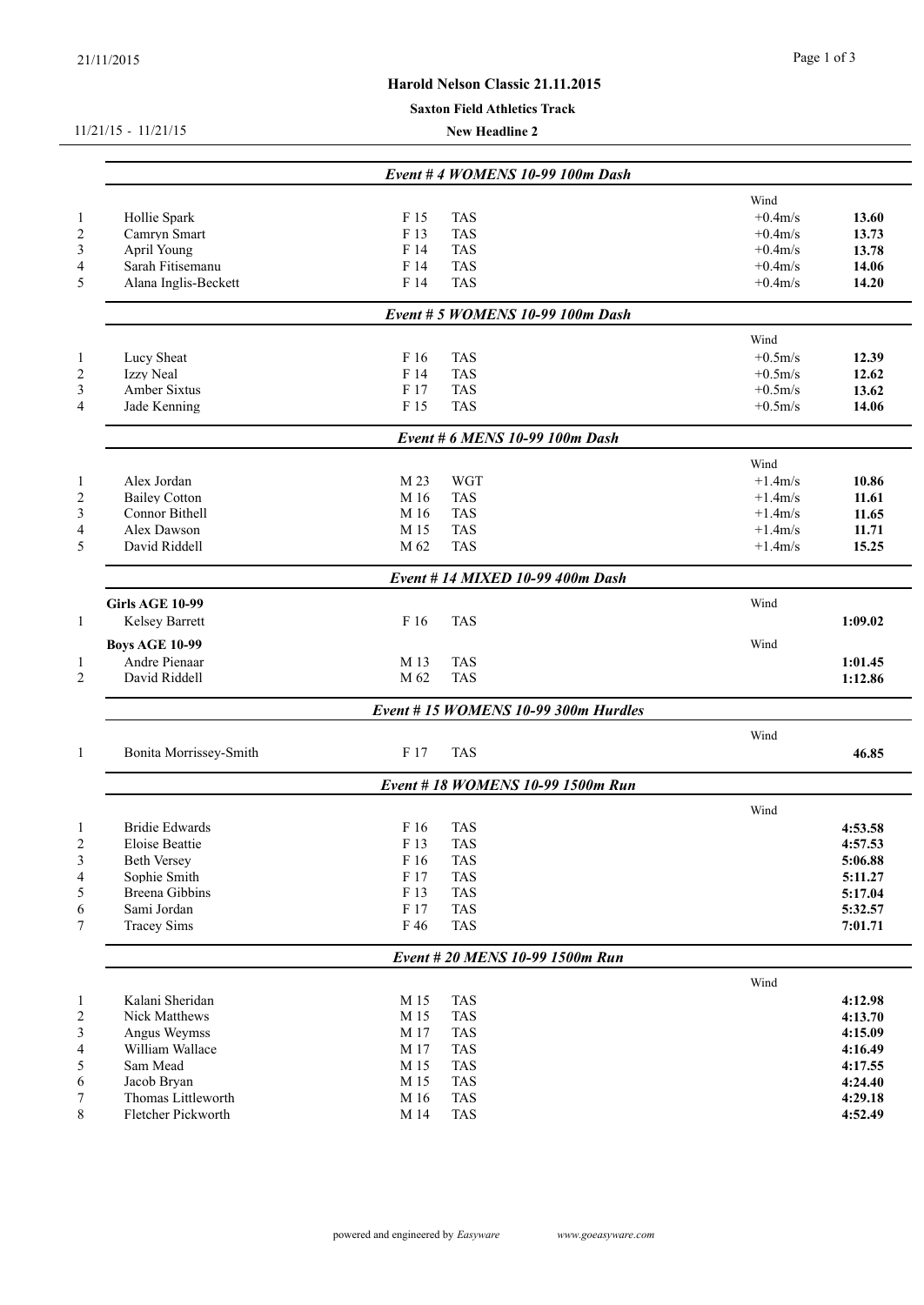## **Harold Nelson Classic 21.11.2015**

#### **Saxton Field Athletics Track**

11/21/15 - 11/21/15

**New Headline 2**

|                        |      | Event # 4 WOMENS 10-99 100m Dash    |            |         |
|------------------------|------|-------------------------------------|------------|---------|
|                        |      |                                     | Wind       |         |
| Hollie Spark           | F 15 | <b>TAS</b>                          | $+0.4$ m/s | 13.60   |
| Camryn Smart           | F 13 | <b>TAS</b>                          | $+0.4m/s$  | 13.73   |
| April Young            | F 14 | <b>TAS</b>                          | $+0.4m/s$  | 13.78   |
| Sarah Fitisemanu       | F 14 | <b>TAS</b>                          | $+0.4m/s$  | 14.06   |
| Alana Inglis-Beckett   | F 14 | <b>TAS</b>                          | $+0.4m/s$  | 14.20   |
|                        |      | Event # 5 WOMENS 10-99 100m Dash    |            |         |
|                        |      |                                     | Wind       |         |
| Lucy Sheat             | F 16 | <b>TAS</b>                          | $+0.5m/s$  | 12.39   |
| Izzy Neal              | F 14 | <b>TAS</b>                          | $+0.5m/s$  | 12.62   |
| Amber Sixtus           | F 17 | <b>TAS</b>                          | $+0.5m/s$  | 13.62   |
| Jade Kenning           | F 15 | <b>TAS</b>                          | $+0.5m/s$  | 14.06   |
|                        |      | Event # 6 MENS 10-99 100m Dash      |            |         |
|                        |      |                                     | Wind       |         |
| Alex Jordan            | M 23 | <b>WGT</b>                          | $+1.4m/s$  | 10.86   |
| <b>Bailey Cotton</b>   | M 16 | <b>TAS</b>                          | $+1.4m/s$  | 11.61   |
| Connor Bithell         | M 16 | <b>TAS</b>                          | $+1.4m/s$  | 11.65   |
| Alex Dawson            | M 15 | <b>TAS</b>                          | $+1.4m/s$  | 11.71   |
| David Riddell          | M 62 | <b>TAS</b>                          | $+1.4m/s$  | 15.25   |
|                        |      | Event #14 MIXED 10-99 400m Dash     |            |         |
| <b>Girls AGE 10-99</b> |      |                                     | Wind       |         |
| Kelsey Barrett         | F 16 | <b>TAS</b>                          |            | 1:09.02 |
| <b>Boys AGE 10-99</b>  |      |                                     | Wind       |         |
|                        |      |                                     |            |         |
| Andre Pienaar          | M 13 | <b>TAS</b>                          |            | 1:01.45 |
| David Riddell          | M 62 | <b>TAS</b>                          |            | 1:12.86 |
|                        |      | Event #15 WOMENS 10-99 300m Hurdles |            |         |
|                        |      |                                     | Wind       |         |
| Bonita Morrissey-Smith | F 17 | <b>TAS</b>                          |            | 46.85   |
|                        |      | Event # 18 WOMENS 10-99 1500m Run   |            |         |
|                        |      |                                     | Wind       |         |
| <b>Bridie Edwards</b>  | F 16 | <b>TAS</b>                          |            | 4:53.58 |
| Eloise Beattie         | F 13 | <b>TAS</b>                          |            | 4:57.53 |
| Beth Versey            | F 16 | <b>TAS</b>                          |            | 5:06.88 |
| Sophie Smith           | F 17 | <b>TAS</b>                          |            | 5:11.27 |
| Breena Gibbins         | F 13 | <b>TAS</b>                          |            | 5:17.04 |
| Sami Jordan            | F 17 | <b>TAS</b>                          |            | 5:32.57 |
|                        | F 46 | <b>TAS</b>                          |            | 7:01.71 |
| <b>Tracey Sims</b>     |      |                                     |            |         |
|                        |      | Event # 20 MENS 10-99 1500m Run     |            |         |
|                        |      |                                     | Wind       |         |
| Kalani Sheridan        | M 15 | <b>TAS</b>                          |            | 4:12.98 |
| Nick Matthews          | M 15 | <b>TAS</b>                          |            | 4:13.70 |
| Angus Weymss           | M 17 | <b>TAS</b>                          |            | 4:15.09 |
| William Wallace        | M 17 | <b>TAS</b>                          |            | 4:16.49 |
| Sam Mead               | M 15 | <b>TAS</b>                          |            | 4:17.55 |
| Jacob Bryan            | M 15 | <b>TAS</b>                          |            | 4:24.40 |
| Thomas Littleworth     | M 16 | <b>TAS</b>                          |            | 4:29.18 |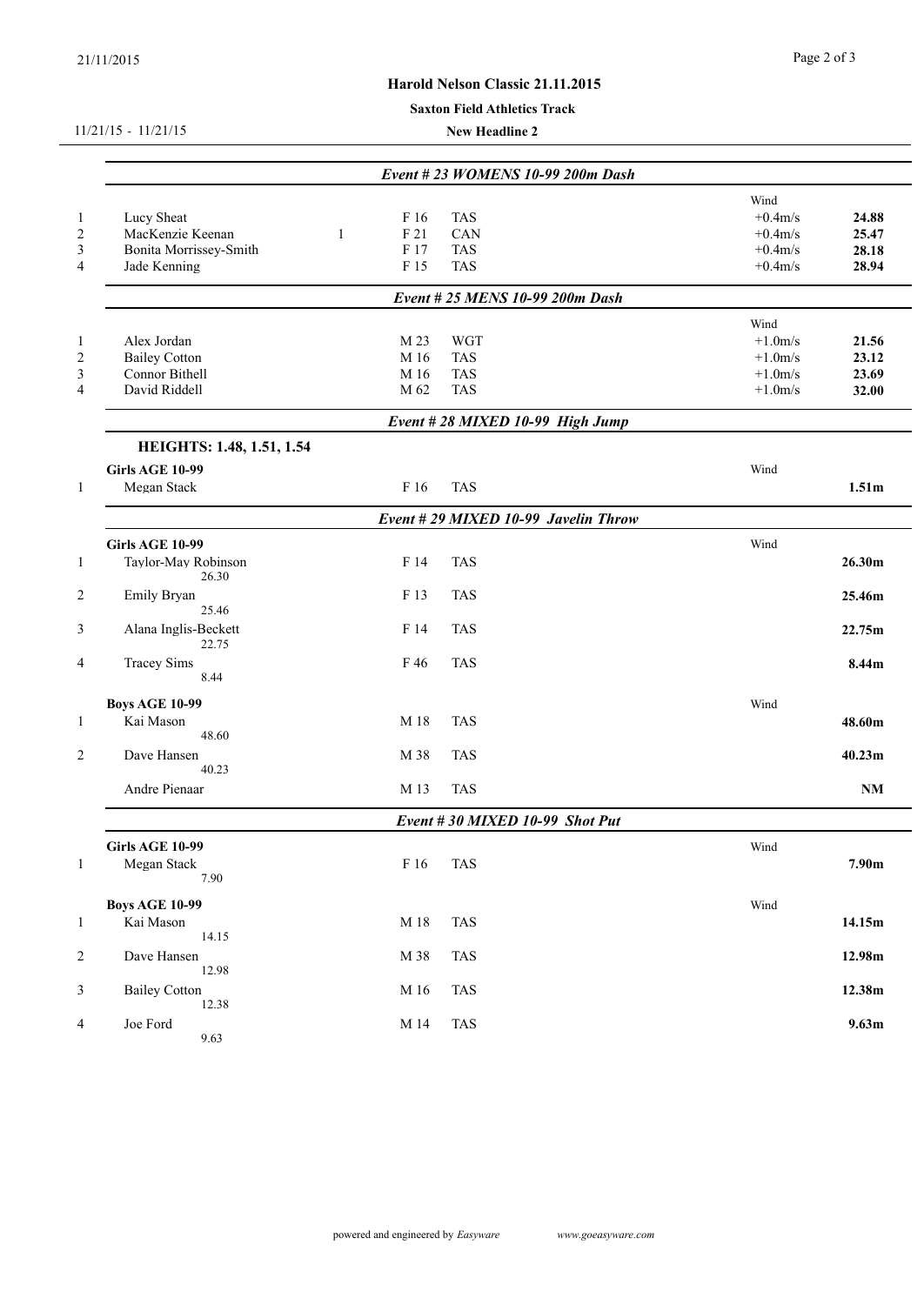# **Harold Nelson Classic 21.11.2015**

#### **Saxton Field Athletics Track**

#### 11/21/15 - 11/21/15

**New Headline 2**

| $\mathbf{1}$<br>$\sqrt{2}$<br>$\mathfrak{Z}$<br>$\overline{4}$ | Lucy Sheat<br>MacKenzie Keenan<br>Bonita Morrissey-Smith<br>Jade Kenning | F 16<br>F 21<br>1<br>F 17<br>F 15 | <b>TAS</b><br>CAN<br><b>TAS</b><br><b>TAS</b><br>Event # 25 MENS 10-99 200m Dash | Wind<br>$+0.4m/s$<br>$+0.4m/s$<br>$+0.4m/s$<br>$+0.4m/s$ | 24.88<br>25.47<br>28.18<br>28.94 |
|----------------------------------------------------------------|--------------------------------------------------------------------------|-----------------------------------|----------------------------------------------------------------------------------|----------------------------------------------------------|----------------------------------|
| 1                                                              | Alex Jordan                                                              | M 23                              | <b>WGT</b>                                                                       | Wind<br>$+1.0m/s$                                        | 21.56                            |
| $\overline{c}$                                                 | <b>Bailey Cotton</b>                                                     | M 16                              | <b>TAS</b>                                                                       | $+1.0m/s$                                                | 23.12                            |
| $\mathfrak{Z}$                                                 | Connor Bithell                                                           | M 16                              | <b>TAS</b>                                                                       | $+1.0m/s$                                                | 23.69                            |
| $\overline{4}$                                                 | David Riddell                                                            | M 62                              | <b>TAS</b>                                                                       | $+1.0m/s$                                                | 32.00                            |
|                                                                |                                                                          |                                   | Event #28 MIXED 10-99 High Jump                                                  |                                                          |                                  |
|                                                                | HEIGHTS: 1.48, 1.51, 1.54                                                |                                   |                                                                                  |                                                          |                                  |
|                                                                | <b>Girls AGE 10-99</b>                                                   |                                   |                                                                                  | Wind                                                     |                                  |
| $\mathbf{1}$                                                   | Megan Stack                                                              | F 16                              | <b>TAS</b>                                                                       |                                                          | 1.51m                            |
|                                                                |                                                                          |                                   | Event # 29 MIXED 10-99 Javelin Throw                                             |                                                          |                                  |
|                                                                | <b>Girls AGE 10-99</b>                                                   |                                   |                                                                                  | Wind                                                     |                                  |
| $\mathbf{1}$                                                   | Taylor-May Robinson<br>26.30                                             | F 14                              | <b>TAS</b>                                                                       |                                                          | 26.30m                           |
| $\overline{2}$                                                 | Emily Bryan<br>25.46                                                     | F 13                              | <b>TAS</b>                                                                       |                                                          | 25.46m                           |
| $\mathfrak{Z}$                                                 | Alana Inglis-Beckett<br>22.75                                            | F 14                              | <b>TAS</b>                                                                       |                                                          | 22.75m                           |
| $\overline{4}$                                                 | <b>Tracey Sims</b><br>8.44                                               | F 46                              | <b>TAS</b>                                                                       |                                                          | 8.44m                            |
|                                                                | <b>Boys AGE 10-99</b>                                                    |                                   |                                                                                  | Wind                                                     |                                  |
| $\mathbf{1}$                                                   | Kai Mason<br>48.60                                                       | M 18                              | <b>TAS</b>                                                                       |                                                          | 48.60m                           |
| 2                                                              | Dave Hansen<br>40.23                                                     | M 38                              | <b>TAS</b>                                                                       |                                                          | 40.23m                           |
|                                                                | Andre Pienaar                                                            | M 13                              | <b>TAS</b>                                                                       |                                                          | $\mathbf{N}\mathbf{M}$           |
|                                                                |                                                                          |                                   | Event #30 MIXED 10-99 Shot Put                                                   |                                                          |                                  |
| $\perp$                                                        | <b>Girls AGE 10-99</b><br>Megan Stack<br>7.90                            | F 16                              | <b>TAS</b>                                                                       | Wind                                                     | 7.90m                            |
| $\mathbf{1}$                                                   | <b>Boys AGE 10-99</b><br>Kai Mason                                       | M 18                              | <b>TAS</b>                                                                       | Wind                                                     | 14.15m                           |
|                                                                | 14.15                                                                    |                                   |                                                                                  |                                                          |                                  |
| $\overline{c}$                                                 | Dave Hansen<br>12.98                                                     | M 38                              | <b>TAS</b>                                                                       |                                                          | 12.98m                           |
| $\mathfrak{Z}$                                                 | <b>Bailey Cotton</b><br>12.38                                            | M 16                              | <b>TAS</b>                                                                       |                                                          | 12.38m                           |
| $\overline{4}$                                                 | Joe Ford<br>9.63                                                         | M 14                              | <b>TAS</b>                                                                       |                                                          | 9.63m                            |